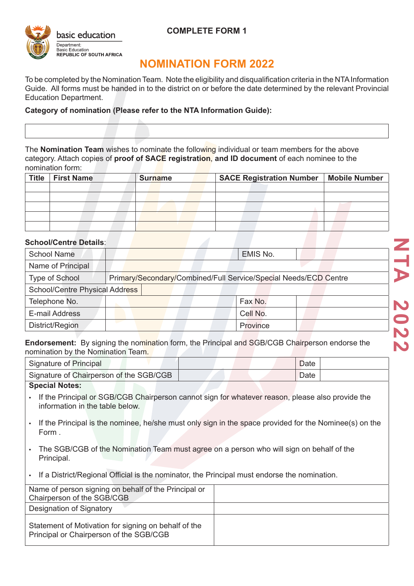

### **COMPLETE FORM 1**

## **NOMINATION FORM 2022**

To be completed by the Nomination Team. Note the eligibility and disqualification criteria in the NTA Information Guide. All forms must be handed in to the district on or before the date determined by the relevant Provincial Education Department.

#### **Category of nomination (Please refer to the NTA Information Guide):**

The **Nomination Team** wishes to nominate the following individual or team members for the above category. Attach copies of **proof of SACE registration**, **and ID document** of each nominee to the nomination form:

| Title   First Name | <b>Surname</b> | SACE Registration Number   Mobile Number |  |  |
|--------------------|----------------|------------------------------------------|--|--|
|                    |                |                                          |  |  |
|                    |                |                                          |  |  |
|                    |                |                                          |  |  |
|                    |                |                                          |  |  |
|                    |                |                                          |  |  |

## **School/Centre Details**:

| <b>School Name</b>             | EMIS No.                                                         |  |  |  |
|--------------------------------|------------------------------------------------------------------|--|--|--|
| Name of Principal              |                                                                  |  |  |  |
| Type of School                 | Primary/Secondary/Combined/Full Service/Special Needs/ECD Centre |  |  |  |
| School/Centre Physical Address |                                                                  |  |  |  |
| Telephone No.                  | Fax No.                                                          |  |  |  |
| E-mail Address                 | Cell No.                                                         |  |  |  |
| District/Region                | Province                                                         |  |  |  |

**Endorsement:** By signing the nomination form, the Principal and SGB/CGB Chairperson endorse the nomination by the Nomination Team.

| <u>HUHIHANUH DY IHE NUHIHANUH TEAHT.</u> |      |  |  |  |
|------------------------------------------|------|--|--|--|
| Signature of Principal                   | Date |  |  |  |
| Signature of Chairperson of the SGB/CGB  | Date |  |  |  |
| <b>Special Notes:</b>                    |      |  |  |  |

- If the Principal or SGB/CGB Chairperson cannot sign for whatever reason, please also provide the information in the table below.
- If the Principal is the nominee, he/she must only sign in the space provided for the Nominee(s) on the Form .
- The SGB/CGB of the Nomination Team must agree on a person who will sign on behalf of the Principal.
- If a District/Regional Official is the nominator, the Principal must endorse the nomination.

| Name of person signing on behalf of the Principal or<br>Chairperson of the SGB/CGB              |  |
|-------------------------------------------------------------------------------------------------|--|
| Designation of Signatory                                                                        |  |
| Statement of Motivation for signing on behalf of the<br>Principal or Chairperson of the SGB/CGB |  |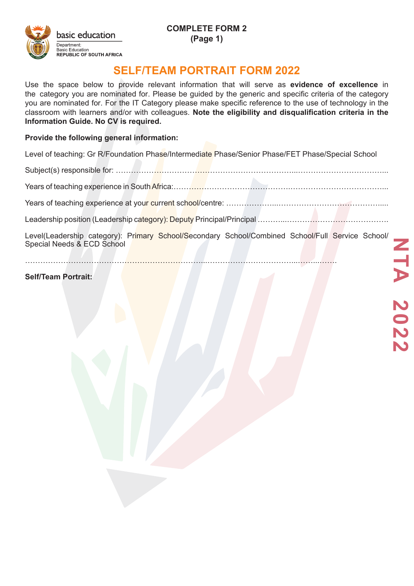# **SELF/TEAM PORTRAIT FORM 2022**

Use the space below to provide relevant information that will serve as **evidence of excellence** in the category you are nominated for. Please be guided by the generic and specific criteria of the category you are nominated for. For the IT Category please make specific reference to the use of technology in the classroom with learners and/or with colleagues. **Note the eligibility and disqualification criteria in the Information Guide. No CV is required.** 

#### **Provide the following general information:**

Level of teaching: Gr R/Foundation Phase/Intermediate Phase/Senior Phase/FET Phase/Special School

Subject(s) responsible for: ……………………………………………………………...……………………………...

Years of teaching experience in South Africa:……………………………………………………………………………………………

Years of teaching experience at your current school/centre: ………………...………………………………….....

Leadership position (Leadership category): Deputy Principal/Principal ……………………………………………

Level(Leadership category): Primary School/Secondary School/Combined School/Full Service School/ Special Needs & ECD School

……………………………………………………………...……………………………...……...…….

#### **Self/Team Portrait:**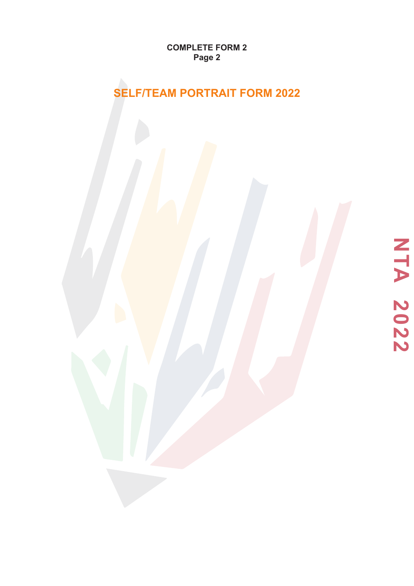**COMPLETE FORM 2 Page 2**

# **SELF/TEAM PORTRAIT FORM 2022**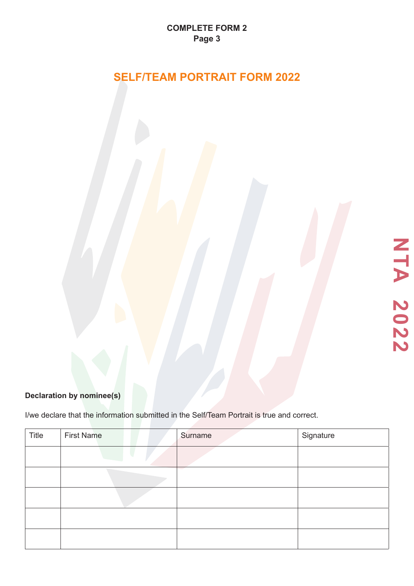# **SELF/TEAM PORTRAIT FORM 2022**

## **Declaration by nominee(s)**

I/we declare that the information submitted in the Self/Team Portrait is true and correct.

| Title | <b>First Name</b> | Surname | Signature |
|-------|-------------------|---------|-----------|
|       |                   |         |           |
|       |                   | $\sim$  |           |
|       |                   |         |           |
|       |                   |         |           |
|       |                   |         |           |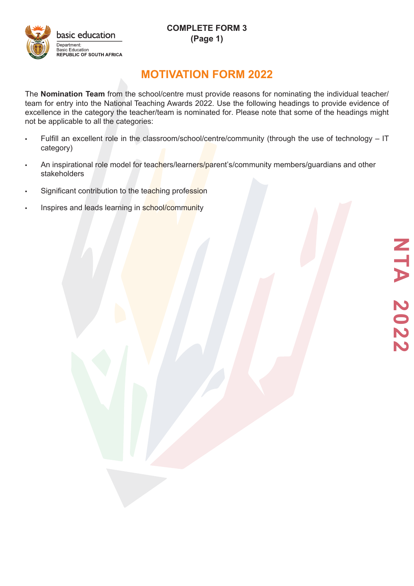**COMPLETE FORM 3 (Page 1)**



## **MOTIVATION FORM 2022**

The **Nomination Team** from the school/centre must provide reasons for nominating the individual teacher/ team for entry into the National Teaching Awards 2022. Use the following headings to provide evidence of excellence in the category the teacher/team is nominated for. Please note that some of the headings might not be applicable to all the categories:

- Fulfill an excellent role in the classroom/school/centre/community (through the use of technology IT category)
- An inspirational role model for teachers/learners/parent's/community members/guardians and other stakeholders
- Significant contribution to the teaching profession
- Inspires and leads learning in school/community